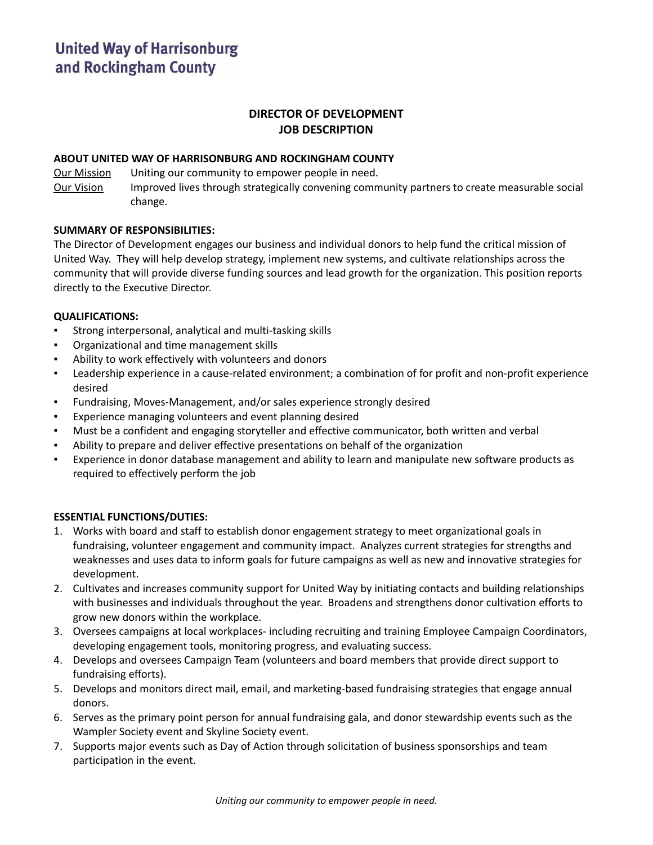# **DIRECTOR OF DEVELOPMENT JOB DESCRIPTION**

## **ABOUT UNITED WAY OF HARRISONBURG AND ROCKINGHAM COUNTY**

Our Mission Uniting our community to empower people in need.

Our Vision Improved lives through strategically convening community partners to create measurable social change.

# **SUMMARY OF RESPONSIBILITIES:**

The Director of Development engages our business and individual donors to help fund the critical mission of United Way. They will help develop strategy, implement new systems, and cultivate relationships across the community that will provide diverse funding sources and lead growth for the organization. This position reports directly to the Executive Director.

# **QUALIFICATIONS:**

- Strong interpersonal, analytical and multi-tasking skills
- Organizational and time management skills
- Ability to work effectively with volunteers and donors
- Leadership experience in a cause-related environment; a combination of for profit and non-profit experience desired
- Fundraising, Moves-Management, and/or sales experience strongly desired
- Experience managing volunteers and event planning desired
- Must be a confident and engaging storyteller and effective communicator, both written and verbal
- Ability to prepare and deliver effective presentations on behalf of the organization
- Experience in donor database management and ability to learn and manipulate new software products as required to effectively perform the job

## **ESSENTIAL FUNCTIONS/DUTIES:**

- 1. Works with board and staff to establish donor engagement strategy to meet organizational goals in fundraising, volunteer engagement and community impact. Analyzes current strategies for strengths and weaknesses and uses data to inform goals for future campaigns as well as new and innovative strategies for development.
- 2. Cultivates and increases community support for United Way by initiating contacts and building relationships with businesses and individuals throughout the year. Broadens and strengthens donor cultivation efforts to grow new donors within the workplace.
- 3. Oversees campaigns at local workplaces- including recruiting and training Employee Campaign Coordinators, developing engagement tools, monitoring progress, and evaluating success.
- 4. Develops and oversees Campaign Team (volunteers and board members that provide direct support to fundraising efforts).
- 5. Develops and monitors direct mail, email, and marketing-based fundraising strategies that engage annual donors.
- 6. Serves as the primary point person for annual fundraising gala, and donor stewardship events such as the Wampler Society event and Skyline Society event.
- 7. Supports major events such as Day of Action through solicitation of business sponsorships and team participation in the event.